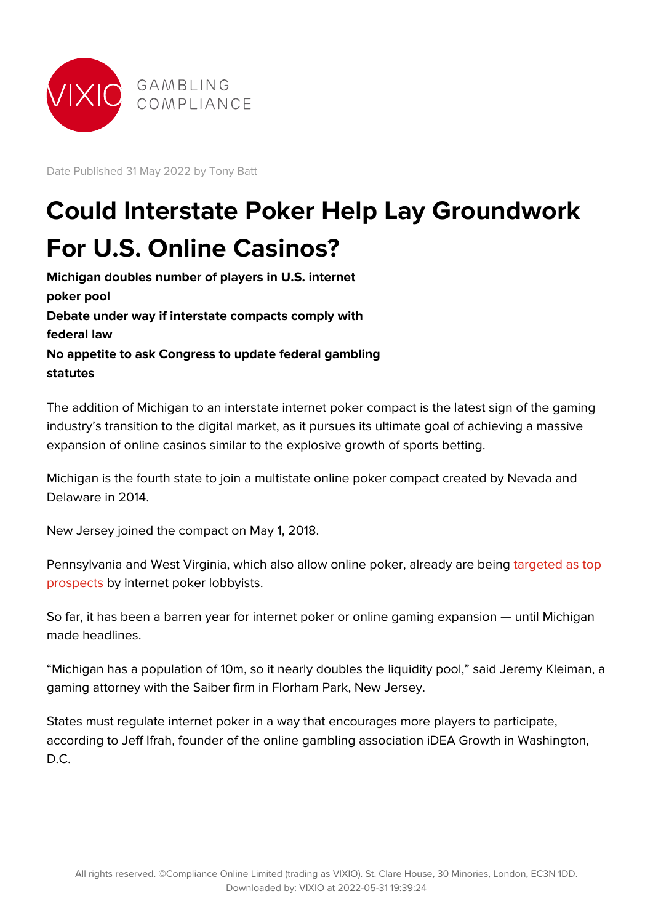

Date Published 31 May 2022 by Tony Batt

## **Could Interstate Poker Help Lay Groundwork For U.S. Online Casinos?**

**Michigan doubles number of players in U.S. internet poker pool Debate under way if interstate compacts comply with federal law No appetite to ask Congress to update federal gambling statutes**

The addition of Michigan to an interstate internet poker compact is the latest sign of the gaming industry's transition to the digital market, as it pursues its ultimate goal of achieving a massive expansion of online casinos similar to the explosive growth of sports betting.

Michigan is the fourth state to join a multistate online poker compact created by Nevada and Delaware in 2014.

New Jersey joined the compact on May 1, 2018.

Pennsylvania and West Virginia, which also allow online poker, already are being [targeted as top](https://gc.vixio.com/insights-analysis/michigan-joins-new-jersey-delaware-nevada-interstate-poker-compact) [prospects b](https://gc.vixio.com/insights-analysis/michigan-joins-new-jersey-delaware-nevada-interstate-poker-compact)y internet poker lobbyists.

So far, it has been a barren year for internet poker or online gaming expansion — until Michigan made headlines.

"Michigan has a population of 10m, so it nearly doubles the liquidity pool," said Jeremy Kleiman, a gaming attorney with the Saiber firm in Florham Park, New Jersey.

States must regulate internet poker in a way that encourages more players to participate, according to Jeff Ifrah, founder of the online gambling association iDEA Growth in Washington, D.C.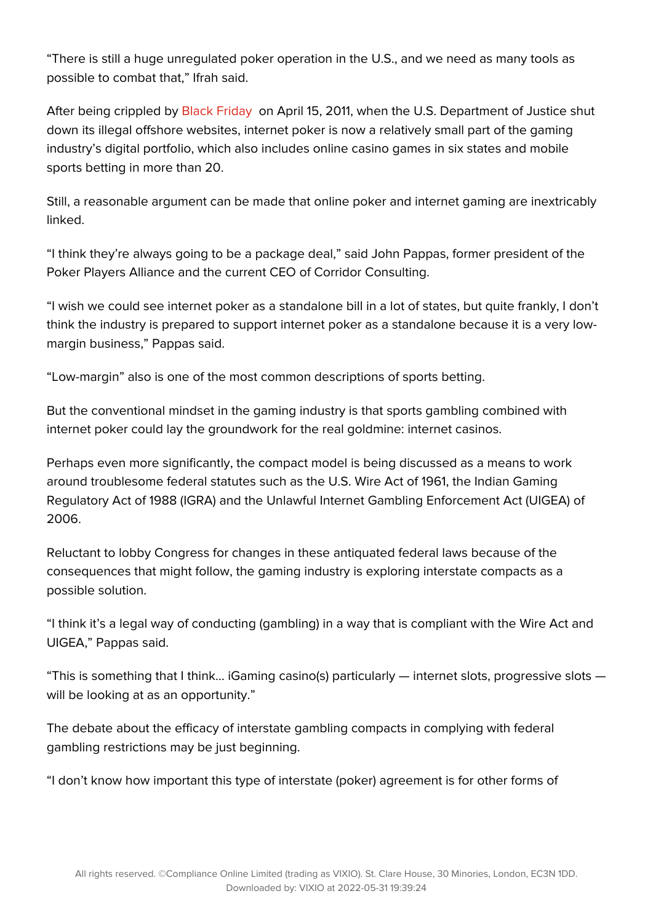"There is still a huge unregulated poker operation in the U.S., and we need as many tools as possible to combat that," Ifrah said.

After being crippled by [Black Friday](https://gc.vixio.com/insights-analysis/black-friday-and-historic-decade-it-has-wrought) on April 15, 2011, when the U.S. Department of Justice shut down its illegal offshore websites, internet poker is now a relatively small part of the gaming industry's digital portfolio, which also includes online casino games in six states and mobile sports betting in more than 20.

Still, a reasonable argument can be made that online poker and internet gaming are inextricably linked.

"I think they're always going to be a package deal," said John Pappas, former president of the Poker Players Alliance and the current CEO of Corridor Consulting.

"I wish we could see internet poker as a standalone bill in a lot of states, but quite frankly, I don't think the industry is prepared to support internet poker as a standalone because it is a very lowmargin business," Pappas said.

"Low-margin" also is one of the most common descriptions of sports betting.

But the conventional mindset in the gaming industry is that sports gambling combined with internet poker could lay the groundwork for the real goldmine: internet casinos.

Perhaps even more significantly, the compact model is being discussed as a means to work around troublesome federal statutes such as the U.S. Wire Act of 1961, the Indian Gaming Regulatory Act of 1988 (IGRA) and the Unlawful Internet Gambling Enforcement Act (UIGEA) of 2006.

Reluctant to lobby Congress for changes in these antiquated federal laws because of the consequences that might follow, the gaming industry is exploring interstate compacts as a possible solution.

"I think it's a legal way of conducting (gambling) in a way that is compliant with the Wire Act and UIGEA," Pappas said.

"This is something that I think… iGaming casino(s) particularly — internet slots, progressive slots will be looking at as an opportunity."

The debate about the efficacy of interstate gambling compacts in complying with federal gambling restrictions may be just beginning.

"I don't know how important this type of interstate (poker) agreement is for other forms of